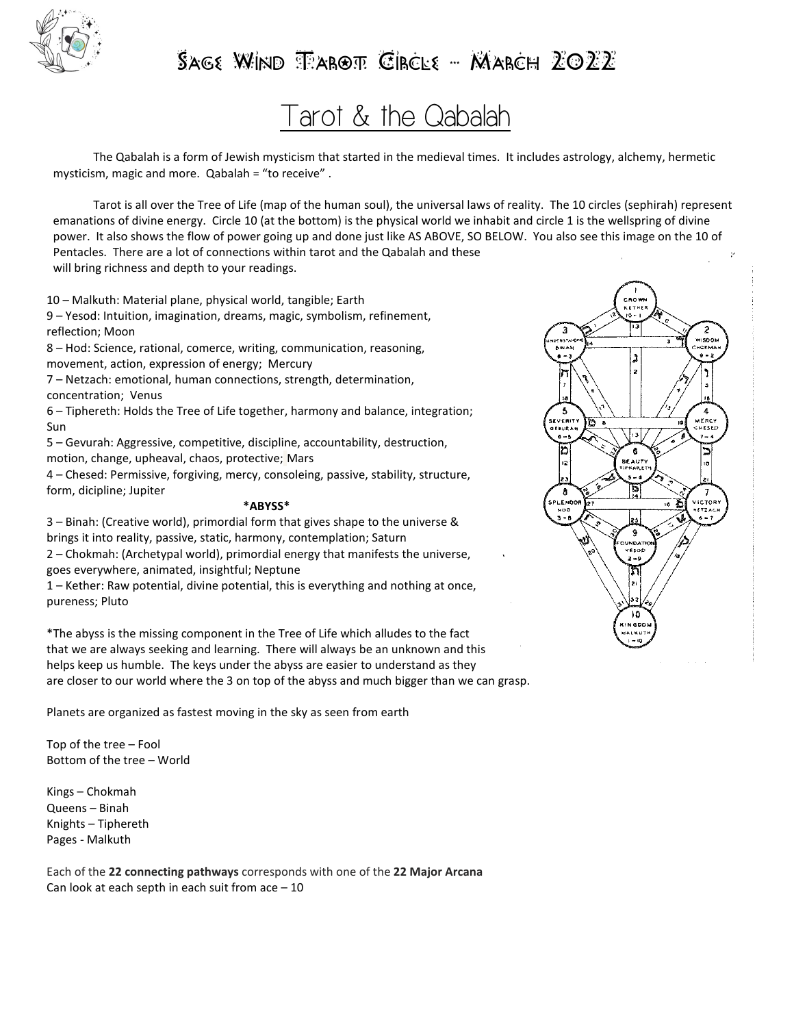

### $S$ age Wind Tarot Circle – March  $ZOZZ$

# Tarot & the Qabalah

The Qabalah is a form of Jewish mysticism that started in the medieval times. It includes astrology, alchemy, hermetic mysticism, magic and more. Qabalah = "to receive" .

Tarot is all over the Tree of Life (map of the human soul), the universal laws of reality. The 10 circles (sephirah) represent emanations of divine energy. Circle 10 (at the bottom) is the physical world we inhabit and circle 1 is the wellspring of divine power. It also shows the flow of power going up and done just like AS ABOVE, SO BELOW. You also see this image on the 10 of Pentacles. There are a lot of connections within tarot and the Qabalah and these will bring richness and depth to your readings.

10 – Malkuth: Material plane, physical world, tangible; Earth

9 – Yesod: Intuition, imagination, dreams, magic, symbolism, refinement, reflection; Moon

8 – Hod: Science, rational, comerce, writing, communication, reasoning, movement, action, expression of energy; Mercury

7 – Netzach: emotional, human connections, strength, determination, concentration; Venus

6 – Tiphereth: Holds the Tree of Life together, harmony and balance, integration; Sun

5 – Gevurah: Aggressive, competitive, discipline, accountability, destruction, motion, change, upheaval, chaos, protective; Mars

4 – Chesed: Permissive, forgiving, mercy, consoleing, passive, stability, structure, form, dicipline; Jupiter

#### **\*ABYSS\***

3 – Binah: (Creative world), primordial form that gives shape to the universe & brings it into reality, passive, static, harmony, contemplation; Saturn

2 – Chokmah: (Archetypal world), primordial energy that manifests the universe, goes everywhere, animated, insightful; Neptune

1 – Kether: Raw potential, divine potential, this is everything and nothing at once, pureness; Pluto

\*The abyss is the missing component in the Tree of Life which alludes to the fact that we are always seeking and learning. There will always be an unknown and this helps keep us humble. The keys under the abyss are easier to understand as they are closer to our world where the 3 on top of the abyss and much bigger than we can grasp.

Planets are organized as fastest moving in the sky as seen from earth

Top of the tree – Fool Bottom of the tree – World

Kings – Chokmah Queens – Binah Knights – Tiphereth Pages - Malkuth

Each of the **22 connecting pathways** corresponds with one of the **22 Major Arcana** Can look at each septh in each suit from  $ace - 10$ 

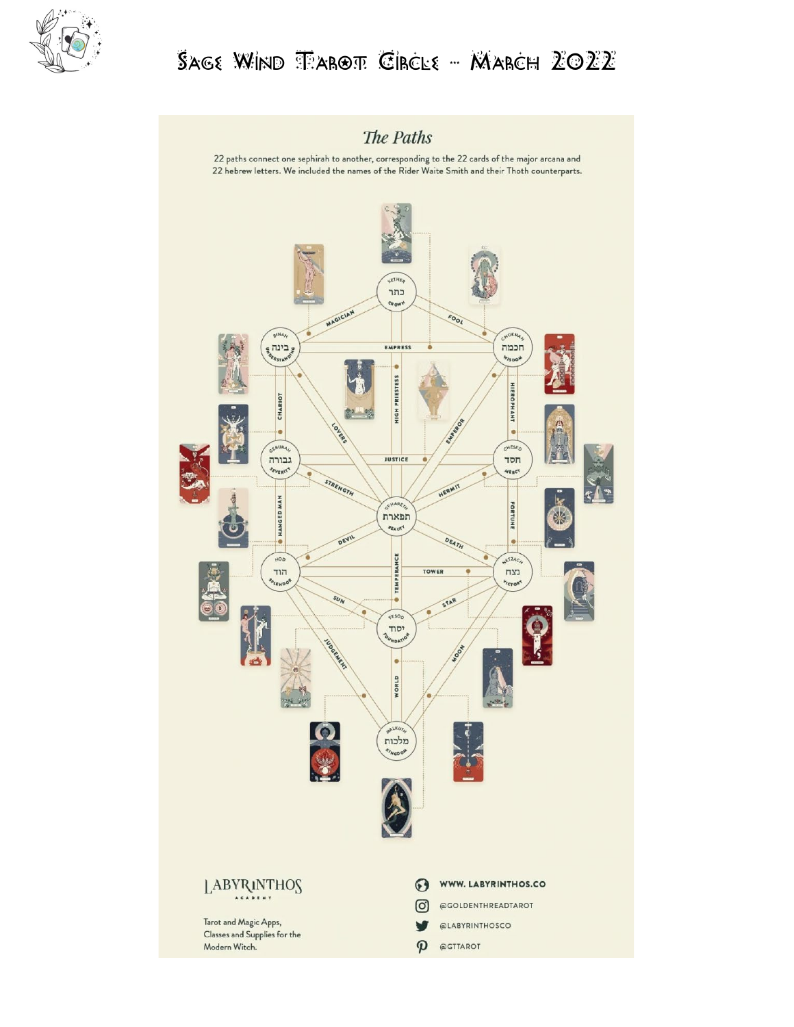

### SAGE WIND TAROT CIRCLE - MARCH 2022

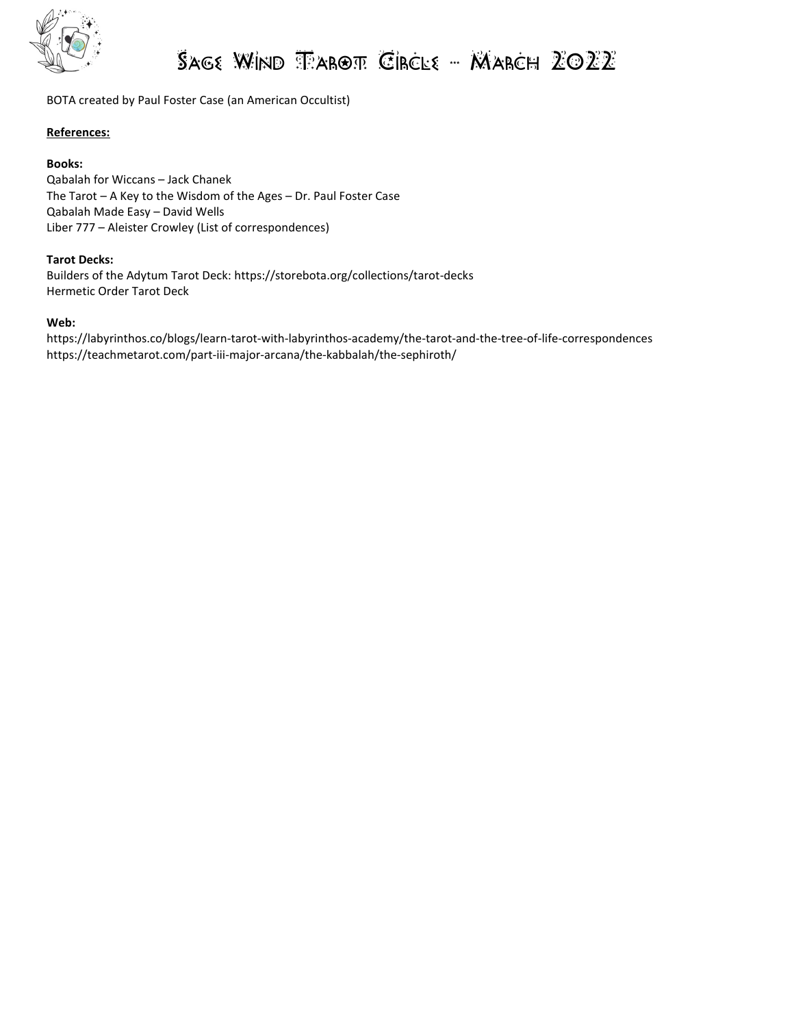

## SAGE WIND TAROT CIRCLE - MARCH 2022

BOTA created by Paul Foster Case (an American Occultist)

#### **References:**

#### **Books:**

Qabalah for Wiccans – Jack Chanek The Tarot – A Key to the Wisdom of the Ages – Dr. Paul Foster Case Qabalah Made Easy – David Wells Liber 777 – Aleister Crowley (List of correspondences)

#### **Tarot Decks:**

Builders of the Adytum Tarot Deck:<https://storebota.org/collections/tarot-decks> Hermetic Order Tarot Deck

#### **Web:**

https://labyrinthos.co/blogs/learn-tarot-with-labyrinthos-academy/the-tarot-and-the-tree-of-life-correspondences https://teachmetarot.com/part-iii-major-arcana/the-kabbalah/the-sephiroth/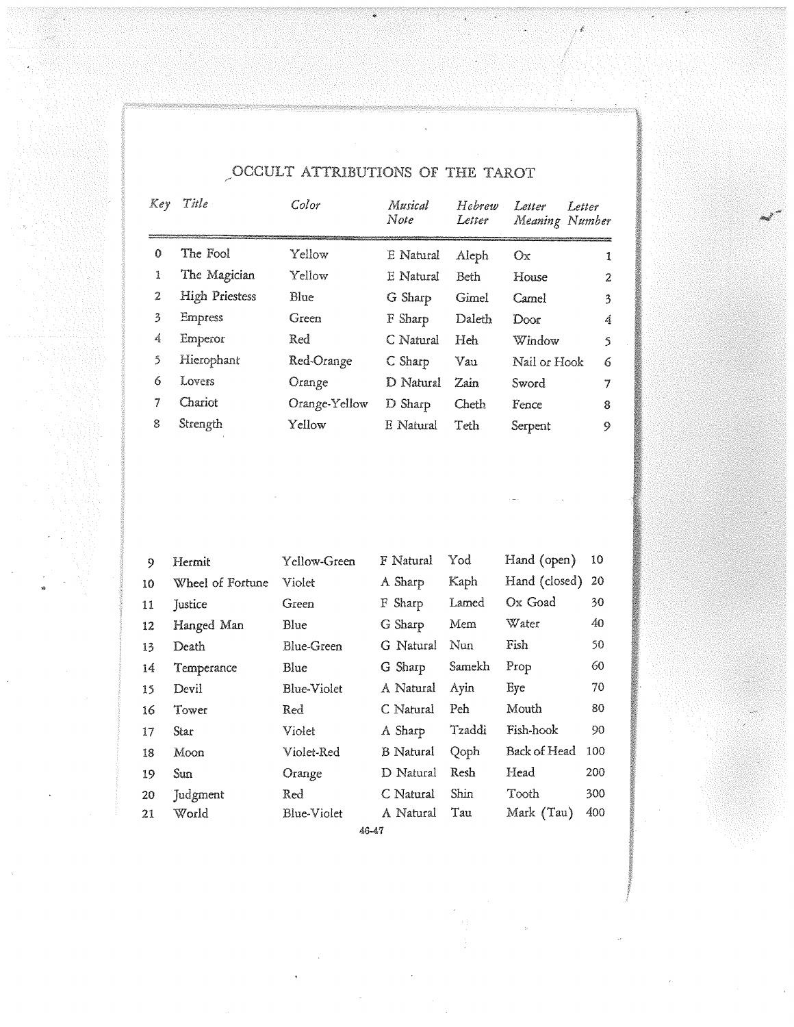| Key      | Title                 | Color         | Musical<br>Note | Hebrew<br>Letter | Letter<br>Letter<br>Meaning Number |    |
|----------|-----------------------|---------------|-----------------|------------------|------------------------------------|----|
| $\Omega$ | The Fool              | Yellow        | E Natural       | Aleph            | Oх                                 | 1  |
| ŀ        | The Magician          | Yellow        | E Natural       | Beth             | House                              | 2  |
| 2        | <b>High Priestess</b> | Blue          | G Sharp         | Gimel            | Camel                              | 3  |
| 3        | Empress               | Green         | F Sharp         | Daleth           | Door                               | 4  |
| 4        | Emperor               | Red           | C Natural       | Heh              | Window                             | s, |
| 5        | Hierophant            | Red-Orange    | C Sharp         | Vau              | Nail or Hook                       | 6  |
| 6        | Lovers                | Orange        | D Natural       | Zain             | Sword                              | 7  |
| 7        | Chariot               | Orange-Yellow | D Sharp         | Cheth            | Fence                              | 8  |
| 8        | Strength              | Yellow        | E Natural       | Teth             | Serpent                            | 9  |

### $\int$  OCCULT ATTRIBUTIONS OF THE TAROT

| 9     | Hermit           | Yellow-Green      | F Natural        | Yod    | Hand (open)   | 10  |  |
|-------|------------------|-------------------|------------------|--------|---------------|-----|--|
| 10    | Wheel of Fortune | Violet            | A Sharp          | Kaph   | Hand (closed) | 20  |  |
| 11    | Justice          | Green             | F Sharp          | Lamed  | Ox Goad       | 30  |  |
| 12    | Hanged Man       | Blue              | G Sharp          | Mem    | Water         | 40  |  |
| 13    | Death            | <b>Blue-Green</b> | G Natural        | Nun    | Fish          | 50. |  |
| 14    | Temperance       | Blue              | G Sharp          | Samekh | Prop          | 60  |  |
| 15    | Devil            | Blue-Violet       | A Natural        | Ayin   | Eye           | 70  |  |
| 16    | Tower            | Red               | C Natural        | Peh    | Mouth         | 80  |  |
| 17    | Star             | Violet            | A Sharp          | Tzaddi | Fish-hook     | 90  |  |
| 18    | Moon             | Violet-Red        | <b>B</b> Natural | Qoph   | Back of Head  | 100 |  |
| 19    | Sun              | Orange            | D Natural        | Resh   | Head          | 200 |  |
| 20    | Judgment         | Red               | C Natural        | Shin   | Tooth         | 300 |  |
| 21    | World            | Blue-Violet       | A Natural        | Tau    | Mark (Tau)    | 400 |  |
| 46-47 |                  |                   |                  |        |               |     |  |